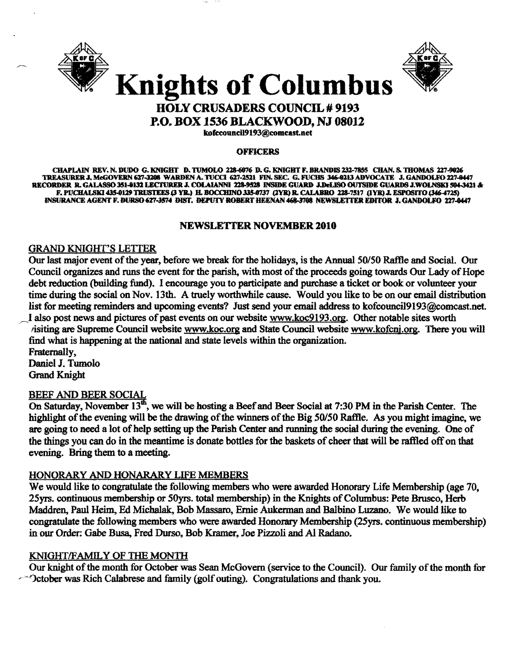



# **Knights of Columbus HOLY CRUSADERS COUNCIL # 9193**

P.O. BOX 1536 BLACKWOOD, NJ 08012

kofccouncil9193@comcast.net

#### **OFFICERS**

CHAPLAIN REV. N. DUDO G. KNIGHT D. TUMOLO 228-6076 D. G. KNIGHT F. BRANDIS 232-7855 CHAN. S. THOMAS 227-9026 TREASURER J. McGOVERN 627-3208 WARDEN A. TUCCI 627-2521 FIN. SEC. G. FUCHS 346-0213 ADVOCATE J. GANDOLFO 227-0447 RECORDER R. GALASSO 351-0132 LECTURER J. COLAIANNI 228-9528 INSIDE GUARD J.DeLISO OUTSIDE GUARDS J.WOLNSKI 594-3421 & F. PUCHALSKI 435-0129 TRUSTEES (3 YR.) H. BOCCHINO 335-0737 (2YR) R. CALABRO 228-7517 (1YR) J. ESPOSITO (346-4725) INSURANCE AGENT F. DURSO 627-3574 DIST. DEPUTY ROBERT HEENAN 468-3708 NEWSLETTER EDITOR J. GANDOLFO 227-0447

#### NEWSLETTER NOVEMBER 2010

### **GRAND KNIGHT'S LETTER**

Our last major event of the year, before we break for the holidays, is the Annual 50/50 Raffle and Social. Our Council organizes and runs the event for the parish, with most of the proceeds going towards Our Lady of Hope debt reduction (building fund). I encourage you to participate and purchase a ticket or book or volunteer your time during the social on Nov. 13th. A truely worthwhile cause. Would you like to be on our email distribution list for meeting reminders and upcoming events? Just send your email address to kofcouncil9193@comcast.net. I also post news and pictures of past events on our website www.koc9193.org. Other notable sites worth isiting are Supreme Council website www.koc.org and State Council website www.kofcnj.org. There you will find what is happening at the national and state levels within the organization. Fraternally, Daniel J. Tumolo

**Grand Knight** 

## BEEF AND BEER SOCIAL

On Saturday, November 13<sup>th</sup>, we will be hosting a Beef and Beer Social at 7:30 PM in the Parish Center. The highlight of the evening will be the drawing of the winners of the Big 50/50 Raffle. As you might imagine, we are going to need a lot of help setting up the Parish Center and running the social during the evening. One of the things you can do in the meantime is donate bottles for the baskets of cheer that will be raffled off on that evening. Bring them to a meeting.

#### HONORARY AND HONARARY LIFE MEMBERS

We would like to congratulate the following members who were awarded Honorary Life Membership (age 70, 25yrs. continuous membership or 50yrs. total membership) in the Knights of Columbus: Pete Brusco, Herb Maddren, Paul Heim, Ed Michalak, Bob Massaro, Ernie Aukerman and Balbino Luzano. We would like to congratulate the following members who were awarded Honorary Membership (25yrs. continuous membership) in our Order: Gabe Busa, Fred Durso, Bob Kramer, Joe Pizzoli and Al Radano.

#### KNIGHT/FAMILY OF THE MONTH

Our knight of the month for October was Sean McGovern (service to the Council). Our family of the month for  $\sim$  October was Rich Calabrese and family (golf outing). Congratulations and thank you.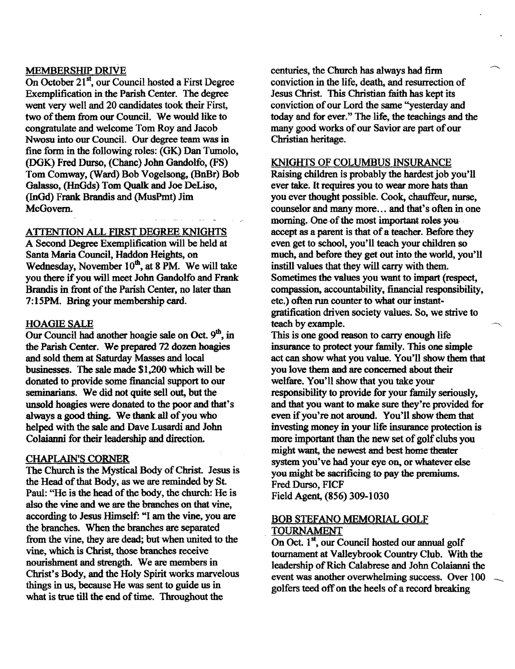#### MEMBERSHIP DRIVE

On October 21<sup>st</sup>, our Council hosted a First Degree Exemplification in the Parish Center. The degree went very well and 20 candidates took their First, two of them from our Council. We would like to congratulate and welcome Tom Roy and Jacob Nwosu into our Council. Our degree team was in fine form in the following roles: (GK) Dan Tumolo, (DGK) Fred Durso, (Chane) John Gandolfo, (FS) Tom Comway, (Ward) Bob Vogelsong, (BnBr) Bob Galasso, (HnGds) Tom Qualk and Joe DeLiso, (!nGd) Frank Brandis and (MusPmt) Jim McGovem.

A'ITENTION ALL FIRST DEGREE KNIGHTS

A Second Degree Exemplification will be held at Santa Maria Council, Haddon Heights, on Wednesday, November  $10^{th}$ , at 8 PM. We will take you there if you will meet John Gandolfo and Frank Brandis in front of the Parish Center, no later than 7:15PM. Bring your membership card.

#### HOAGIE SALE

Our Council had another hoagie sale on Oct.  $9<sup>th</sup>$ , in the Parish Center. We prepared 72 dozen hoagies and sold them at Saturday Masses and local businesses. The sale made \$1,200 which will be donated to provide some financial support to our seminarians. We did not quite sell out, but the unsold hoagies were donated to the poor and that's always a good thing. We thank all of you who helped with the sale and Dave Lusardi and John Colaianni for their leadership and direction.

#### CHAPLAIN'S CORNER

The Church is the Mystical Body of Christ. Jesus is the Head of that Body, as we are reminded by St. Paul: ''He is the head of the body, the church: He is also the vine and we are the branches on that vine, according to Jesus Himself: "I am the vine, you are the branches. When the branches are separated from the vine, they are dead; but when united to the vine, which is Christ, those branches receive nourishment and strength. We are members in Christ's Body, and the Holy Spirit works marvelous things in us, because He was sent to guide us in what is true till the end of time. Throughout the

centuries, the Church has always had firm conviction in the life, death, and resurrection of Jesus Christ. This Christian faith has kept its conviction of our Lord the same "yesterday and today and for ever." The life, the teachings and the many good works of our Savior are part of our Christian heritage.

#### KNIGHTS OF COLUMBUS INSURANCE

Raising children is probably the hardest job you'll ever take. It requires you to wear more hats than you ever thought possible. Cook, chauffeur, nurse, counselor and many more... and that's often in one morning. One of the most important roles youaccept as a parent is that of a teacher. Before they even get to school, you'll teach your children so much, and before they get out into the world, you'll instill values that they will carry with them. Sometimes the values you want to impart (respect, compassion, accountability, financial responsibility, etc.) often run counter to what our instant gratification driven society values. So, we strive to teach by example.

This is one good reason to carry enough life insurance to protect your family. This one simple act can show what you value. You'll show them that you love them and are concemed about their welfare. You'll show that you take your responsibility to provide for your family seriously, and that you want to make sure they're provided for even if you're not around. You'll show them that investing money in your life insurance protection is more important than the new set of golf clubs you might want, the newest and best home theater system you've had your eye on, or whatever else you might be sacrificing to pay the premiums. Fred Durso, FICF Field Agent, (856) 309-1030

#### BOB STEfANO MEMORIAL GOLF . TOURNAMENT

On Oct.  $1^{st}$ , our Council hosted our annual golf tournament at Valleybrook Country Club. With the leadership of Rich Calabrese and John Colaianni the event was another overwhelming success. Over 100 golfers teed off on the heels of a record breaking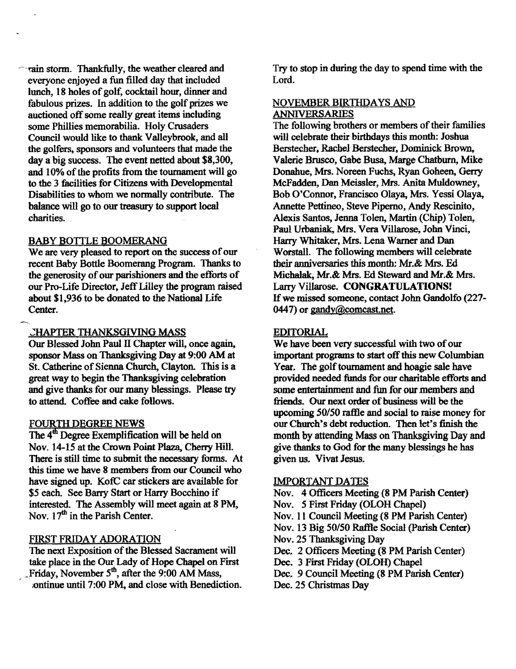---rain stonn. Thankfully, the weather cleared and everyone enjoyed a fun filled day that included lunch, 18 holes of golf, cocktail hour, dinner and fabulous prizes. In addition to the golf prizes we auctioned off some really great items including some Phillies memorabilia. Holy Crusaders Council would like to thank Valleybrook, and all the golfers. sponsors and volunteers that made the day a big success. The event netted about \$8,300, and 10% of the profits from the tournament will go to the 3 facilities for Citizens with Developmental Disabilities to whom we normally contribute. The balance will go to our treasury to support local charities.

#### BABY BOTTLE BOOMERANG

We are very pleased to report on the success of our recent Baby Bottle Boomerang Program. Thanks to the generosity of our parishioners and the efforts of our Pro-Life Director, Jeff Lilley the program raised about \$1,936 to be donated to the National Life Center.

#### CHAPTER THANKSGIVING MASS

Our Blessed John Paul II Chapter will, once again. sponsor Mass on Thanksgiving Day at 9:00 AM at St. Catherine of Sienna Church. Clayton. This is a great way to begin the Thanksgiving celebration and give thanks for our many blessings. Please try to attend. Coffee and cake follows.

#### FOURTH DEGREE NEWS

The  $4<sup>th</sup>$  Degree Exemplification will be held on Nov. 14-15 at the Crown Point Plaza, Cherry Hill. There is still time to submit the necessary forms. At this time we have 8 members from our Council who have signed up. KofC car stickers are available for \$5 each. See Barry Start or Harry Bocchino if interested. The Assembly will meet again at 8 PM, Nov. 17<sup>th</sup> in the Parish Center.

## FIRST FRIDAY ADORATION

The next Exposition of the Blessed Sacrament will take place in the Our Lady of Hope Chapel on First Friday, November  $5<sup>th</sup>$ , after the 9:00 AM Mass, ;ontinue until 7:00 PM, and close with Benediction. Try to stop in during the day to spend time with the Lord.

#### NOVEMBER BIRTHDAYS AND ANNIVERSARIES

The following brothers or members of their families will celebrate their birthdays this month: Joshua Berstecher, Rachel Berstecher. Dominick Brown. Valerie Brusco, Gabe Busa, Marge Chatburn, Mike Donahue, Mrs. Noreen Fuchs, Ryan Goheen, Gerry McFadden, Dan Meissler, Mrs. Anita Muldowney, Bob O'Connor, Francisco Olaya, Mrs. Yessi Olaya, Annette Pettineo, Steve Piperno, Andy Rescinito, Alexis Santos, Jenna Tolen, Martin (Chip) Tolen, Paul Urbaniak, Mrs. Vera Villarose, John Vinci, Harry Whitaker, Mrs. Lena Warner and Dan Worstall. The following members will celebrate their anniversaries this month: Mr.& Mrs. Ed Michalak, Mr.& Mrs. Ed Steward and Mr.& Mrs. Larry Villarose. CONGRATULATIONS! If we missed someone, contact John Gandolfo (227-0447) or gandy@comcast.net.

#### EDITORIAL

We have been very successful with two of our important programs to start off this new Columbian Year. The golf tournament and hoagie sale have provided needed funds for our charitable efforts and some entertainment and fun for our members and friends. Our next order of business will be the upcoming 50/50 raffle and social to raise money for our Church"s debt reduction. Then let's finish the month by attending Mass on Thanksgiving Day and give thanks to God for the many blessings he has given us. Vivat Jesus.

#### IMPORTANT DATES

- Nov. 4 Officers Meeting (8 PM Parish Center)
- Nov. 5 First Friday (OLOH Chapel)
- Nov. 11 Council Meeting (8 PM Parish Center)
- Nov. 13 Big 50/50 Raffle Social (Parish Center)
- Nov. 25 Thanksgiving Day
- Dec. 2 Officers Meeting (8 PM Parish Center)
- Dec. 3 First Friday (OLOH) Chapel
- Dec. 9 Council Meeting (8 PM Parish Center)
- Dec. 25 Christmas Day